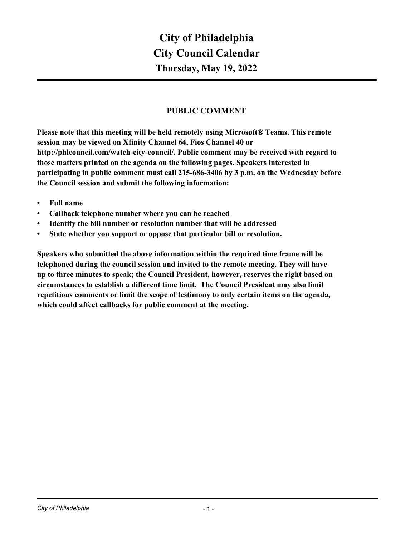# **PUBLIC COMMENT**

**Please note that this meeting will be held remotely using Microsoft® Teams. This remote session may be viewed on Xfinity Channel 64, Fios Channel 40 or http://phlcouncil.com/watch-city-council/. Public comment may be received with regard to those matters printed on the agenda on the following pages. Speakers interested in participating in public comment must call 215-686-3406 by 3 p.m. on the Wednesday before the Council session and submit the following information:**

- **• Full name**
- **• Callback telephone number where you can be reached**
- **• Identify the bill number or resolution number that will be addressed**
- **• State whether you support or oppose that particular bill or resolution.**

**Speakers who submitted the above information within the required time frame will be telephoned during the council session and invited to the remote meeting. They will have up to three minutes to speak; the Council President, however, reserves the right based on circumstances to establish a different time limit. The Council President may also limit repetitious comments or limit the scope of testimony to only certain items on the agenda, which could affect callbacks for public comment at the meeting.**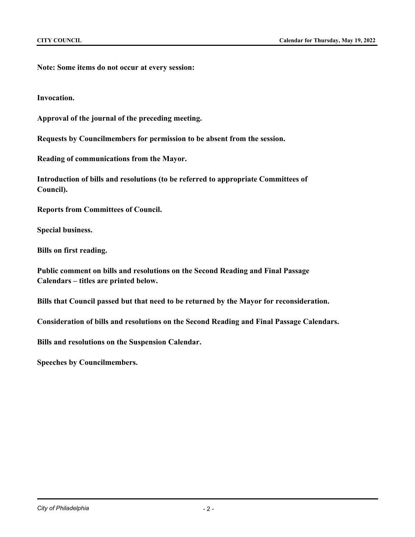**Note: Some items do not occur at every session:**

**Invocation.**

**Approval of the journal of the preceding meeting.**

**Requests by Councilmembers for permission to be absent from the session.**

**Reading of communications from the Mayor.**

**Introduction of bills and resolutions (to be referred to appropriate Committees of Council).**

**Reports from Committees of Council.**

**Special business.**

**Bills on first reading.**

**Public comment on bills and resolutions on the Second Reading and Final Passage Calendars – titles are printed below.**

**Bills that Council passed but that need to be returned by the Mayor for reconsideration.**

**Consideration of bills and resolutions on the Second Reading and Final Passage Calendars.**

**Bills and resolutions on the Suspension Calendar.**

**Speeches by Councilmembers.**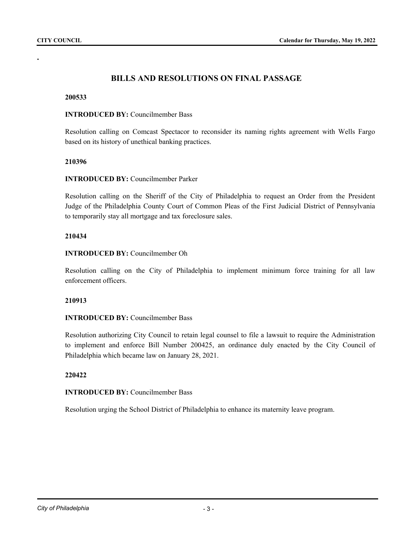**.**

# **BILLS AND RESOLUTIONS ON FINAL PASSAGE**

#### **200533**

#### **INTRODUCED BY:** Councilmember Bass

Resolution calling on Comcast Spectacor to reconsider its naming rights agreement with Wells Fargo based on its history of unethical banking practices.

### **210396**

### **INTRODUCED BY:** Councilmember Parker

Resolution calling on the Sheriff of the City of Philadelphia to request an Order from the President Judge of the Philadelphia County Court of Common Pleas of the First Judicial District of Pennsylvania to temporarily stay all mortgage and tax foreclosure sales.

### **210434**

### **INTRODUCED BY:** Councilmember Oh

Resolution calling on the City of Philadelphia to implement minimum force training for all law enforcement officers.

#### **210913**

# **INTRODUCED BY:** Councilmember Bass

Resolution authorizing City Council to retain legal counsel to file a lawsuit to require the Administration to implement and enforce Bill Number 200425, an ordinance duly enacted by the City Council of Philadelphia which became law on January 28, 2021.

#### **220422**

## **INTRODUCED BY:** Councilmember Bass

Resolution urging the School District of Philadelphia to enhance its maternity leave program.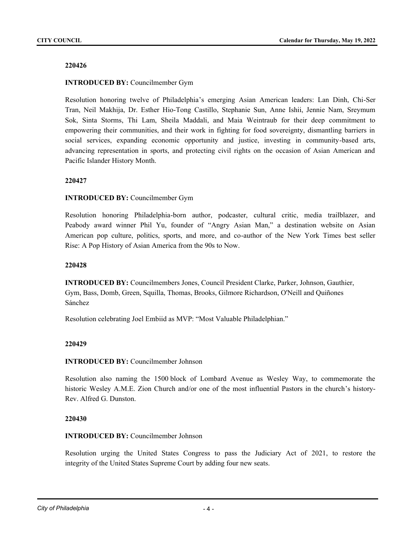#### **220426**

### **INTRODUCED BY:** Councilmember Gym

Resolution honoring twelve of Philadelphia's emerging Asian American leaders: Lan Dinh, Chi-Ser Tran, Neil Makhija, Dr. Esther Hio-Tong Castillo, Stephanie Sun, Anne Ishii, Jennie Nam, Sreymum Sok, Sinta Storms, Thi Lam, Sheila Maddali, and Maia Weintraub for their deep commitment to empowering their communities, and their work in fighting for food sovereignty, dismantling barriers in social services, expanding economic opportunity and justice, investing in community-based arts, advancing representation in sports, and protecting civil rights on the occasion of Asian American and Pacific Islander History Month.

### **220427**

### **INTRODUCED BY:** Councilmember Gym

Resolution honoring Philadelphia-born author, podcaster, cultural critic, media trailblazer, and Peabody award winner Phil Yu, founder of "Angry Asian Man," a destination website on Asian American pop culture, politics, sports, and more, and co-author of the New York Times best seller Rise: A Pop History of Asian America from the 90s to Now.

#### **220428**

**INTRODUCED BY:** Councilmembers Jones, Council President Clarke, Parker, Johnson, Gauthier, Gym, Bass, Domb, Green, Squilla, Thomas, Brooks, Gilmore Richardson, O'Neill and Quiñones Sánchez

Resolution celebrating Joel Embiid as MVP: "Most Valuable Philadelphian."

#### **220429**

#### **INTRODUCED BY:** Councilmember Johnson

Resolution also naming the 1500 block of Lombard Avenue as Wesley Way, to commemorate the historic Wesley A.M.E. Zion Church and/or one of the most influential Pastors in the church's history-Rev. Alfred G. Dunston.

#### **220430**

## **INTRODUCED BY:** Councilmember Johnson

Resolution urging the United States Congress to pass the Judiciary Act of 2021, to restore the integrity of the United States Supreme Court by adding four new seats.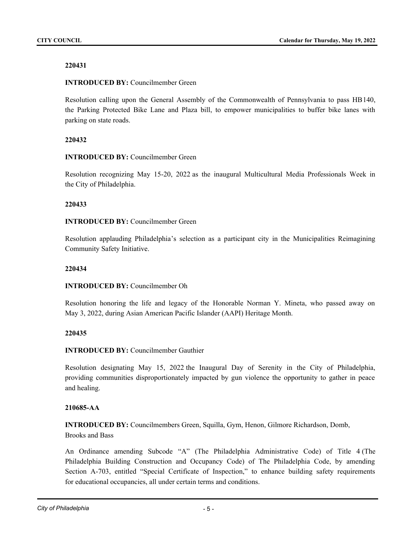# **220431**

# **INTRODUCED BY:** Councilmember Green

Resolution calling upon the General Assembly of the Commonwealth of Pennsylvania to pass HB140, the Parking Protected Bike Lane and Plaza bill, to empower municipalities to buffer bike lanes with parking on state roads.

# **220432**

# **INTRODUCED BY:** Councilmember Green

Resolution recognizing May 15-20, 2022 as the inaugural Multicultural Media Professionals Week in the City of Philadelphia.

### **220433**

# **INTRODUCED BY:** Councilmember Green

Resolution applauding Philadelphia's selection as a participant city in the Municipalities Reimagining Community Safety Initiative.

## **220434**

# **INTRODUCED BY:** Councilmember Oh

Resolution honoring the life and legacy of the Honorable Norman Y. Mineta, who passed away on May 3, 2022, during Asian American Pacific Islander (AAPI) Heritage Month.

### **220435**

# **INTRODUCED BY:** Councilmember Gauthier

Resolution designating May 15, 2022 the Inaugural Day of Serenity in the City of Philadelphia, providing communities disproportionately impacted by gun violence the opportunity to gather in peace and healing.

# **210685-AA**

**INTRODUCED BY:** Councilmembers Green, Squilla, Gym, Henon, Gilmore Richardson, Domb, Brooks and Bass

An Ordinance amending Subcode "A" (The Philadelphia Administrative Code) of Title 4 (The Philadelphia Building Construction and Occupancy Code) of The Philadelphia Code, by amending Section A-703, entitled "Special Certificate of Inspection," to enhance building safety requirements for educational occupancies, all under certain terms and conditions.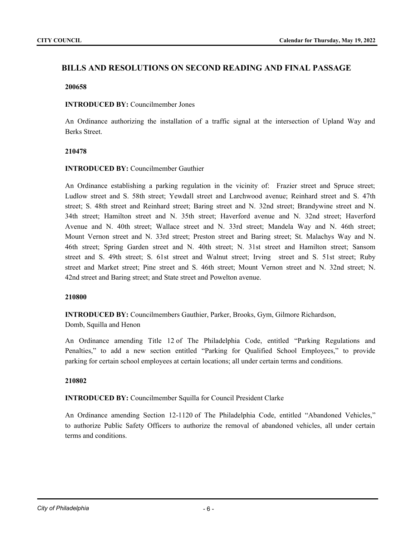# **BILLS AND RESOLUTIONS ON SECOND READING AND FINAL PASSAGE**

#### **200658**

### **INTRODUCED BY:** Councilmember Jones

An Ordinance authorizing the installation of a traffic signal at the intersection of Upland Way and Berks Street.

### **210478**

# **INTRODUCED BY:** Councilmember Gauthier

An Ordinance establishing a parking regulation in the vicinity of: Frazier street and Spruce street; Ludlow street and S. 58th street; Yewdall street and Larchwood avenue; Reinhard street and S. 47th street; S. 48th street and Reinhard street; Baring street and N. 32nd street; Brandywine street and N. 34th street; Hamilton street and N. 35th street; Haverford avenue and N. 32nd street; Haverford Avenue and N. 40th street; Wallace street and N. 33rd street; Mandela Way and N. 46th street; Mount Vernon street and N. 33rd street; Preston street and Baring street; St. Malachys Way and N. 46th street; Spring Garden street and N. 40th street; N. 31st street and Hamilton street; Sansom street and S. 49th street; S. 61st street and Walnut street; Irving street and S. 51st street; Ruby street and Market street; Pine street and S. 46th street; Mount Vernon street and N. 32nd street; N. 42nd street and Baring street; and State street and Powelton avenue.

### **210800**

**INTRODUCED BY:** Councilmembers Gauthier, Parker, Brooks, Gym, Gilmore Richardson,

Domb, Squilla and Henon

An Ordinance amending Title 12 of The Philadelphia Code, entitled "Parking Regulations and Penalties," to add a new section entitled "Parking for Qualified School Employees," to provide parking for certain school employees at certain locations; all under certain terms and conditions.

### **210802**

**INTRODUCED BY:** Councilmember Squilla for Council President Clarke

An Ordinance amending Section 12-1120 of The Philadelphia Code, entitled "Abandoned Vehicles," to authorize Public Safety Officers to authorize the removal of abandoned vehicles, all under certain terms and conditions.